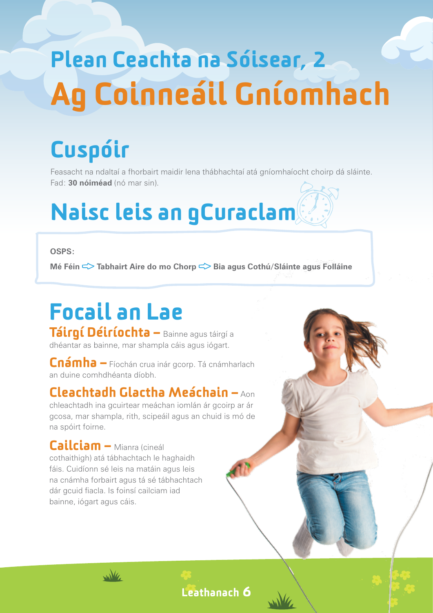# Plean Ceachta na Sóisear, 2 Ag Coinneáil Gníomhach

### Cuspóir

Feasacht na ndaltaí a fhorbairt maidir lena thábhachtaí atá gníomhaíocht choirp dá sláinte. Fad: **30 nóiméad** (nó mar sin).

## Naisc leis an gCuraclam

#### **OSPS:**

**Mé Féin <del></del>**  $\leq$  **Tabhairt Aire do mo Chorp**  $\leq$  **Bia agus Cothú/Sláinte agus Folláine** 

# Focail an Lae

Táirgí Déiríochta – Bainne agus táirgí a dhéantar as bainne, mar shampla cáis agus iógart.

Cnámha – Fíochán crua inár gcorp. Tá cnámharlach an duine comhdhéanta díobh.

#### Cleachtadh Glactha Meáchain – Aon

chleachtadh ina gcuirtear meáchan iomlán ár gcoirp ar ár gcosa, mar shampla, rith, scipeáil agus an chuid is mó de na spóirt foirne.

Cailciam – Mianra (cineál cothaithigh) atá tábhachtach le haghaidh fáis. Cuidíonn sé leis na matáin agus leis na cnámha forbairt agus tá sé tábhachtach dár gcuid fiacla. Is foinsí cailciam iad bainne, iógart agus cáis.

wike

Leathanach 6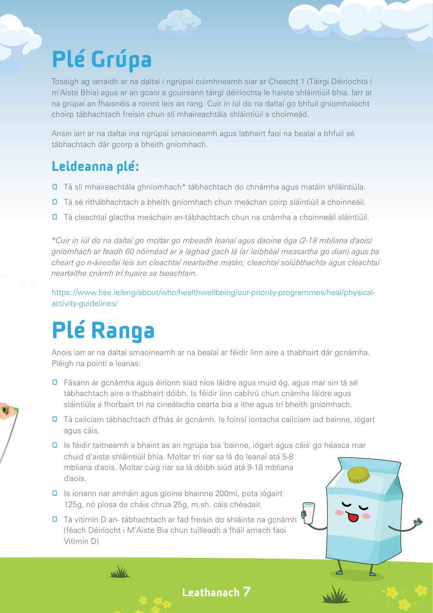### Plé Grúpa

Tosaigh ag iarraidh ar na daltaí i ngrúpaí cuimhneamh siar ar Cheacht 1 (Táirgí Déiríochta i m'Aiste Bhia) agus ar an gcaoi a gcuireann táirgí déiríochta le haiste shláintiúil bhia. Iarr ar na grúpaí an fhaisnéis a roinnt leis an rang. Cuir in iúl do na daltaí go bhfuil gníomhaíocht choirp tábhachtach freisin chun slí mhaireachtála shláintiúil a choimeád.

Ansin iarr ar na daltaí ina ngrúpaí smaoineamh agus labhairt faoi na bealaí a bhfuil sé tábhachtach dár gcorp a bheith gníomhach.

#### Leideanna plé:

- **O** Tá slí mhaireachtála ghníomhach\* tábhachtach do chnámha agus matáin shláintiúla.
- **D** Tá sé ríthábhachtach a bheith gníomhach chun meáchan coirp sláintiúil a choinneáil.
- **O** Tá cleachtaí glactha meáchain an-tábhachtach chun na cnámha a choinneáil sláintiúil.

*\*Cuir in iúl do na daltaí go moltar go mbeadh leanaí agus daoine óga (2-18 mbliana d'aois) gníomhach ar feadh 60 nóiméad ar a laghad gach lá (ar leibhéal measartha go dian) agus ba cheart go n-áireofaí leis sin cleachtaí neartaithe matán, cleachtaí solúbthachta agus cleachtaí neartaithe cnámh trí huaire sa tseachtain.*

https://www.hse.ie/eng/about/who/healthwellbeing/our-priority-programmes/heal/physicalactivity-guidelines/

### Plé Ranga

Anois iarr ar na daltaí smaoineamh ar na bealaí ar féidir linn aire a thabhairt dár gcnámha. Pléigh na pointí a leanas:

- **O** Fásann ár gcnámha agus éiríonn siad níos láidre agus muid óg, agus mar sin tá sé tábhachtach aire a thabhairt dóibh. Is féidir linn cabhrú chun cnámha láidre agus sláintiúla a fhorbairt trí na cineálacha cearta bia a ithe agus trí bheith gníomhach.
- Tá cailciam tábhachtach d'fhás ár gcnámh. Is foinsí iontacha cailciam iad bainne, iógart agus cáis.
- Is féidir taitneamh a bhaint as an ngrúpa bia 'bainne, iógart agus cáis' go héasca mar chuid d'aiste shláintiúil bhia. Moltar trí riar sa lá do leanaí atá 5-8 mbliana d'aois. Moltar cúig riar sa lá dóibh siúd atá 9-18 mbliana d'aois.

Leathanach 7

- **0** Is ionann riar amháin agus gloine bhainne 200ml, pota iógairt 125g, nó píosa de cháis chrua 25g, m.sh. cáis chéadair.
- **O** Tá vitimín D an- tábhachtach ar fad freisin do shláinte na gcnámh (féach Déiríocht i M'Aiste Bia chun tuilleadh a fháil amach faoi Vitimín D)



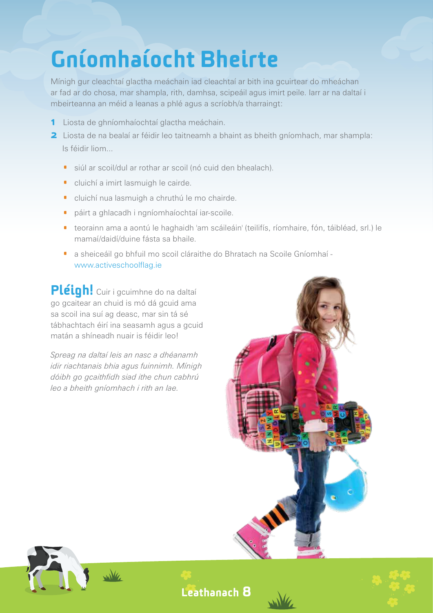### Gníomhaíocht Bheirte

Mínigh gur cleachtaí glactha meáchain iad cleachtaí ar bith ina gcuirtear do mheáchan ar fad ar do chosa, mar shampla, rith, damhsa, scipeáil agus imirt peile. Iarr ar na daltaí i mbeirteanna an méid a leanas a phlé agus a scríobh/a tharraingt:

- 1 Liosta de ghníomhaíochtaí glactha meáchain.
- **2** Liosta de na bealaí ar féidir leo taitneamh a bhaint as bheith gníomhach, mar shampla: Is féidir liom...
	- · siúl ar scoil/dul ar rothar ar scoil (nó cuid den bhealach).
	- · cluichí a imirt lasmuigh le cairde.
	- · cluichí nua lasmuigh a chruthú le mo chairde.
	- · páirt a ghlacadh i ngníomhaíochtaí iar-scoile.
	- · teorainn ama a aontú le haghaidh 'am scáileáin' (teilifís, ríomhaire, fón, táibléad, srl.) le mamaí/daidí/duine fásta sa bhaile.
	- · a sheiceáil go bhfuil mo scoil cláraithe do Bhratach na Scoile Gníomhaí www.activeschoolflag.ie

Pléigh! Cuir i gcuimhne do na daltaí go gcaitear an chuid is mó dá gcuid ama sa scoil ina suí ag deasc, mar sin tá sé tábhachtach éirí ina seasamh agus a gcuid matán a shíneadh nuair is féidir leo!

*Spreag na daltaí leis an nasc a dhéanamh idir riachtanais bhia agus fuinnimh. Mínigh dóibh go gcaithfidh siad ithe chun cabhrú leo a bheith gníomhach i rith an lae.*





Leathanach 8